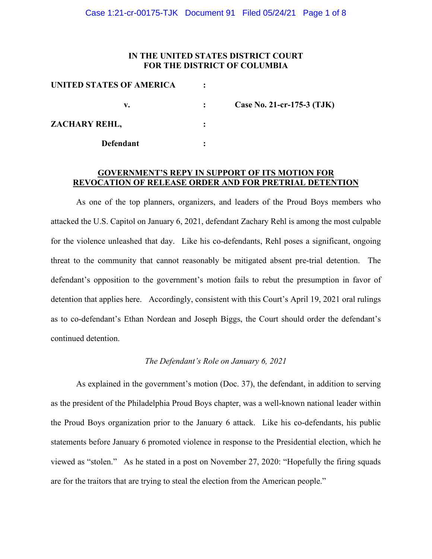## **IN THE UNITED STATES DISTRICT COURT FOR THE DISTRICT OF COLUMBIA**

| UNITED STATES OF AMERICA |                            |
|--------------------------|----------------------------|
| v.                       | Case No. 21-cr-175-3 (TJK) |
| ZACHARY REHL,            |                            |
| <b>Defendant</b>         |                            |

## **GOVERNMENT'S REPY IN SUPPORT OF ITS MOTION FOR REVOCATION OF RELEASE ORDER AND FOR PRETRIAL DETENTION**

As one of the top planners, organizers, and leaders of the Proud Boys members who attacked the U.S. Capitol on January 6, 2021, defendant Zachary Rehl is among the most culpable for the violence unleashed that day. Like his co-defendants, Rehl poses a significant, ongoing threat to the community that cannot reasonably be mitigated absent pre-trial detention. The defendant's opposition to the government's motion fails to rebut the presumption in favor of detention that applies here. Accordingly, consistent with this Court's April 19, 2021 oral rulings as to co-defendant's Ethan Nordean and Joseph Biggs, the Court should order the defendant's continued detention.

# *The Defendant's Role on January 6, 2021*

As explained in the government's motion (Doc. 37), the defendant, in addition to serving as the president of the Philadelphia Proud Boys chapter, was a well-known national leader within the Proud Boys organization prior to the January 6 attack. Like his co-defendants, his public statements before January 6 promoted violence in response to the Presidential election, which he viewed as "stolen." As he stated in a post on November 27, 2020: "Hopefully the firing squads are for the traitors that are trying to steal the election from the American people."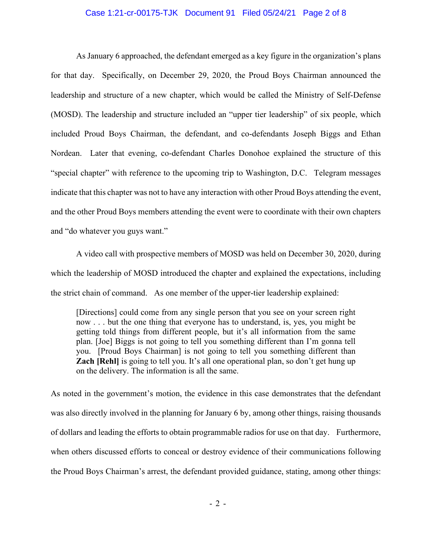#### Case 1:21-cr-00175-TJK Document 91 Filed 05/24/21 Page 2 of 8

As January 6 approached, the defendant emerged as a key figure in the organization's plans for that day. Specifically, on December 29, 2020, the Proud Boys Chairman announced the leadership and structure of a new chapter, which would be called the Ministry of Self-Defense (MOSD). The leadership and structure included an "upper tier leadership" of six people, which included Proud Boys Chairman, the defendant, and co-defendants Joseph Biggs and Ethan Nordean. Later that evening, co-defendant Charles Donohoe explained the structure of this "special chapter" with reference to the upcoming trip to Washington, D.C. Telegram messages indicate that this chapter was not to have any interaction with other Proud Boys attending the event, and the other Proud Boys members attending the event were to coordinate with their own chapters and "do whatever you guys want."

A video call with prospective members of MOSD was held on December 30, 2020, during which the leadership of MOSD introduced the chapter and explained the expectations, including the strict chain of command. As one member of the upper-tier leadership explained:

[Directions] could come from any single person that you see on your screen right now . . . but the one thing that everyone has to understand, is, yes, you might be getting told things from different people, but it's all information from the same plan. [Joe] Biggs is not going to tell you something different than I'm gonna tell you. [Proud Boys Chairman] is not going to tell you something different than **Zach [Rehl]** is going to tell you. It's all one operational plan, so don't get hung up on the delivery. The information is all the same.

As noted in the government's motion, the evidence in this case demonstrates that the defendant was also directly involved in the planning for January 6 by, among other things, raising thousands of dollars and leading the efforts to obtain programmable radios for use on that day. Furthermore, when others discussed efforts to conceal or destroy evidence of their communications following the Proud Boys Chairman's arrest, the defendant provided guidance, stating, among other things: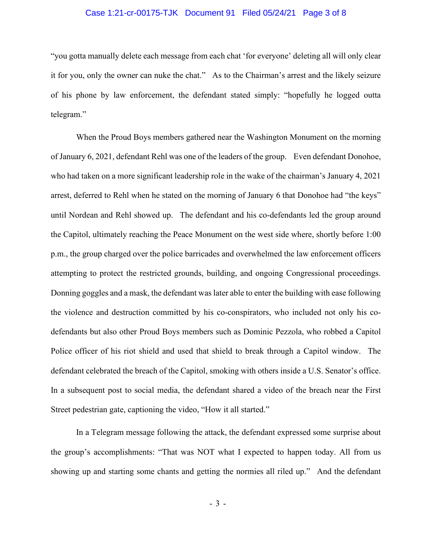#### Case 1:21-cr-00175-TJK Document 91 Filed 05/24/21 Page 3 of 8

"you gotta manually delete each message from each chat 'for everyone' deleting all will only clear it for you, only the owner can nuke the chat." As to the Chairman's arrest and the likely seizure of his phone by law enforcement, the defendant stated simply: "hopefully he logged outta telegram."

When the Proud Boys members gathered near the Washington Monument on the morning of January 6, 2021, defendant Rehl was one of the leaders of the group. Even defendant Donohoe, who had taken on a more significant leadership role in the wake of the chairman's January 4, 2021 arrest, deferred to Rehl when he stated on the morning of January 6 that Donohoe had "the keys" until Nordean and Rehl showed up. The defendant and his co-defendants led the group around the Capitol, ultimately reaching the Peace Monument on the west side where, shortly before 1:00 p.m., the group charged over the police barricades and overwhelmed the law enforcement officers attempting to protect the restricted grounds, building, and ongoing Congressional proceedings. Donning goggles and a mask, the defendant was later able to enter the building with ease following the violence and destruction committed by his co-conspirators, who included not only his codefendants but also other Proud Boys members such as Dominic Pezzola, who robbed a Capitol Police officer of his riot shield and used that shield to break through a Capitol window. The defendant celebrated the breach of the Capitol, smoking with others inside a U.S. Senator's office. In a subsequent post to social media, the defendant shared a video of the breach near the First Street pedestrian gate, captioning the video, "How it all started."

In a Telegram message following the attack, the defendant expressed some surprise about the group's accomplishments: "That was NOT what I expected to happen today. All from us showing up and starting some chants and getting the normies all riled up." And the defendant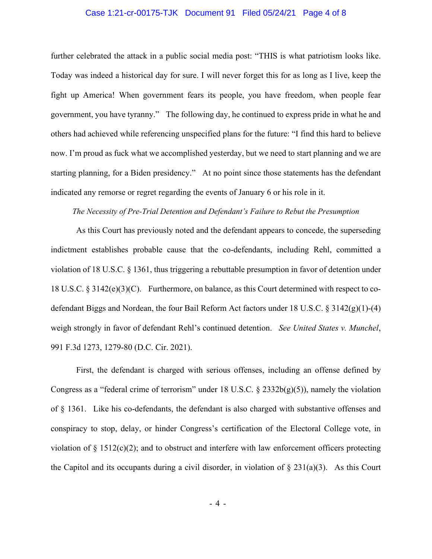#### Case 1:21-cr-00175-TJK Document 91 Filed 05/24/21 Page 4 of 8

further celebrated the attack in a public social media post: "THIS is what patriotism looks like. Today was indeed a historical day for sure. I will never forget this for as long as I live, keep the fight up America! When government fears its people, you have freedom, when people fear government, you have tyranny." The following day, he continued to express pride in what he and others had achieved while referencing unspecified plans for the future: "I find this hard to believe now. I'm proud as fuck what we accomplished yesterday, but we need to start planning and we are starting planning, for a Biden presidency." At no point since those statements has the defendant indicated any remorse or regret regarding the events of January 6 or his role in it.

#### *The Necessity of Pre-Trial Detention and Defendant's Failure to Rebut the Presumption*

As this Court has previously noted and the defendant appears to concede, the superseding indictment establishes probable cause that the co-defendants, including Rehl, committed a violation of 18 U.S.C. § 1361, thus triggering a rebuttable presumption in favor of detention under 18 U.S.C. § 3142(e)(3)(C). Furthermore, on balance, as this Court determined with respect to codefendant Biggs and Nordean, the four Bail Reform Act factors under 18 U.S.C. § 3142(g)(1)-(4) weigh strongly in favor of defendant Rehl's continued detention. *See United States v. Munchel*, 991 F.3d 1273, 1279-80 (D.C. Cir. 2021).

First, the defendant is charged with serious offenses, including an offense defined by Congress as a "federal crime of terrorism" under 18 U.S.C.  $\S$  2332b(g)(5)), namely the violation of § 1361. Like his co-defendants, the defendant is also charged with substantive offenses and conspiracy to stop, delay, or hinder Congress's certification of the Electoral College vote, in violation of  $\S$  1512(c)(2); and to obstruct and interfere with law enforcement officers protecting the Capitol and its occupants during a civil disorder, in violation of  $\S 231(a)(3)$ . As this Court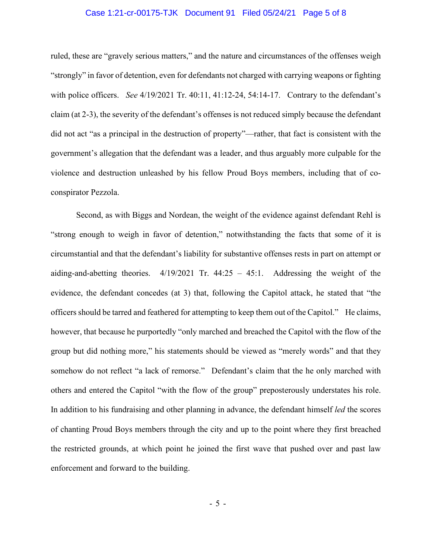#### Case 1:21-cr-00175-TJK Document 91 Filed 05/24/21 Page 5 of 8

ruled, these are "gravely serious matters," and the nature and circumstances of the offenses weigh "strongly" in favor of detention, even for defendants not charged with carrying weapons or fighting with police officers. *See* 4/19/2021 Tr. 40:11, 41:12-24, 54:14-17. Contrary to the defendant's claim (at 2-3), the severity of the defendant's offenses is not reduced simply because the defendant did not act "as a principal in the destruction of property"—rather, that fact is consistent with the government's allegation that the defendant was a leader, and thus arguably more culpable for the violence and destruction unleashed by his fellow Proud Boys members, including that of coconspirator Pezzola.

Second, as with Biggs and Nordean, the weight of the evidence against defendant Rehl is "strong enough to weigh in favor of detention," notwithstanding the facts that some of it is circumstantial and that the defendant's liability for substantive offenses rests in part on attempt or aiding-and-abetting theories. 4/19/2021 Tr. 44:25 – 45:1. Addressing the weight of the evidence, the defendant concedes (at 3) that, following the Capitol attack, he stated that "the officers should be tarred and feathered for attempting to keep them out of the Capitol." He claims, however, that because he purportedly "only marched and breached the Capitol with the flow of the group but did nothing more," his statements should be viewed as "merely words" and that they somehow do not reflect "a lack of remorse." Defendant's claim that the he only marched with others and entered the Capitol "with the flow of the group" preposterously understates his role. In addition to his fundraising and other planning in advance, the defendant himself *led* the scores of chanting Proud Boys members through the city and up to the point where they first breached the restricted grounds, at which point he joined the first wave that pushed over and past law enforcement and forward to the building.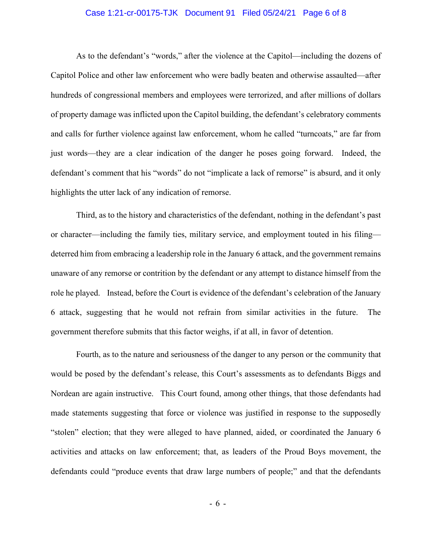#### Case 1:21-cr-00175-TJK Document 91 Filed 05/24/21 Page 6 of 8

As to the defendant's "words," after the violence at the Capitol—including the dozens of Capitol Police and other law enforcement who were badly beaten and otherwise assaulted—after hundreds of congressional members and employees were terrorized, and after millions of dollars of property damage was inflicted upon the Capitol building, the defendant's celebratory comments and calls for further violence against law enforcement, whom he called "turncoats," are far from just words—they are a clear indication of the danger he poses going forward. Indeed, the defendant's comment that his "words" do not "implicate a lack of remorse" is absurd, and it only highlights the utter lack of any indication of remorse.

Third, as to the history and characteristics of the defendant, nothing in the defendant's past or character—including the family ties, military service, and employment touted in his filing deterred him from embracing a leadership role in the January 6 attack, and the government remains unaware of any remorse or contrition by the defendant or any attempt to distance himself from the role he played. Instead, before the Court is evidence of the defendant's celebration of the January 6 attack, suggesting that he would not refrain from similar activities in the future. The government therefore submits that this factor weighs, if at all, in favor of detention.

Fourth, as to the nature and seriousness of the danger to any person or the community that would be posed by the defendant's release, this Court's assessments as to defendants Biggs and Nordean are again instructive. This Court found, among other things, that those defendants had made statements suggesting that force or violence was justified in response to the supposedly "stolen" election; that they were alleged to have planned, aided, or coordinated the January 6 activities and attacks on law enforcement; that, as leaders of the Proud Boys movement, the defendants could "produce events that draw large numbers of people;" and that the defendants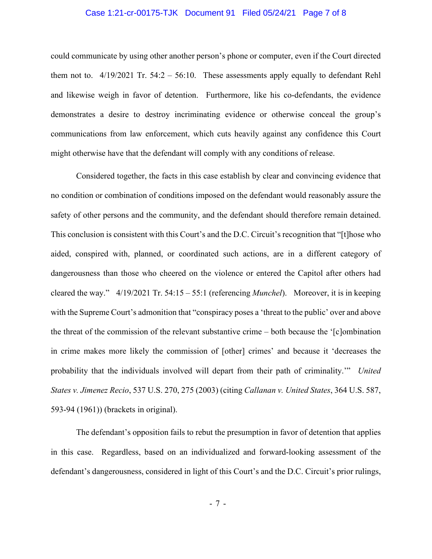#### Case 1:21-cr-00175-TJK Document 91 Filed 05/24/21 Page 7 of 8

could communicate by using other another person's phone or computer, even if the Court directed them not to.  $4/19/2021$  Tr.  $54:2 - 56:10$ . These assessments apply equally to defendant Rehl and likewise weigh in favor of detention. Furthermore, like his co-defendants, the evidence demonstrates a desire to destroy incriminating evidence or otherwise conceal the group's communications from law enforcement, which cuts heavily against any confidence this Court might otherwise have that the defendant will comply with any conditions of release.

Considered together, the facts in this case establish by clear and convincing evidence that no condition or combination of conditions imposed on the defendant would reasonably assure the safety of other persons and the community, and the defendant should therefore remain detained. This conclusion is consistent with this Court's and the D.C. Circuit's recognition that "[t]hose who aided, conspired with, planned, or coordinated such actions, are in a different category of dangerousness than those who cheered on the violence or entered the Capitol after others had cleared the way." 4/19/2021 Tr. 54:15 – 55:1 (referencing *Munchel*). Moreover, it is in keeping with the Supreme Court's admonition that "conspiracy poses a 'threat to the public' over and above the threat of the commission of the relevant substantive crime – both because the '[c]ombination in crime makes more likely the commission of [other] crimes' and because it 'decreases the probability that the individuals involved will depart from their path of criminality.'" *United States v. Jimenez Recio*, 537 U.S. 270, 275 (2003) (citing *Callanan v. United States*, 364 U.S. 587, 593-94 (1961)) (brackets in original).

The defendant's opposition fails to rebut the presumption in favor of detention that applies in this case. Regardless, based on an individualized and forward-looking assessment of the defendant's dangerousness, considered in light of this Court's and the D.C. Circuit's prior rulings,